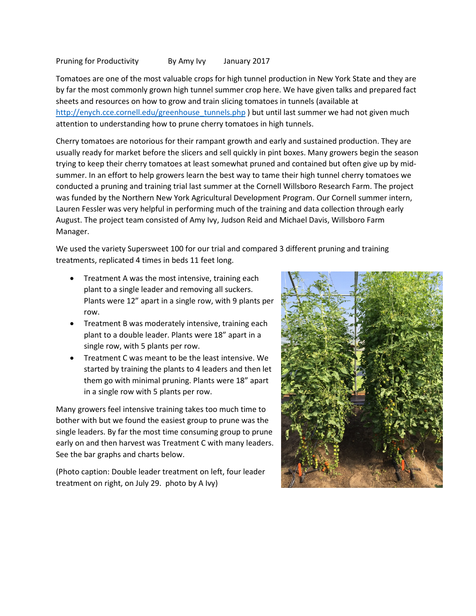Pruning for Productivity By Amy Ivy January 2017

Tomatoes are one of the most valuable crops for high tunnel production in New York State and they are by far the most commonly grown high tunnel summer crop here. We have given talks and prepared fact sheets and resources on how to grow and train slicing tomatoes in tunnels (available at [http://enych.cce.cornell.edu/greenhouse\\_tunnels.php](http://enych.cce.cornell.edu/greenhouse_tunnels.php) ) but until last summer we had not given much attention to understanding how to prune cherry tomatoes in high tunnels.

Cherry tomatoes are notorious for their rampant growth and early and sustained production. They are usually ready for market before the slicers and sell quickly in pint boxes. Many growers begin the season trying to keep their cherry tomatoes at least somewhat pruned and contained but often give up by midsummer. In an effort to help growers learn the best way to tame their high tunnel cherry tomatoes we conducted a pruning and training trial last summer at the Cornell Willsboro Research Farm. The project was funded by the Northern New York Agricultural Development Program. Our Cornell summer intern, Lauren Fessler was very helpful in performing much of the training and data collection through early August. The project team consisted of Amy Ivy, Judson Reid and Michael Davis, Willsboro Farm Manager.

We used the variety Supersweet 100 for our trial and compared 3 different pruning and training treatments, replicated 4 times in beds 11 feet long.

- Treatment A was the most intensive, training each plant to a single leader and removing all suckers. Plants were 12" apart in a single row, with 9 plants per row.
- Treatment B was moderately intensive, training each plant to a double leader. Plants were 18" apart in a single row, with 5 plants per row.
- Treatment C was meant to be the least intensive. We started by training the plants to 4 leaders and then let them go with minimal pruning. Plants were 18" apart in a single row with 5 plants per row.

Many growers feel intensive training takes too much time to bother with but we found the easiest group to prune was the single leaders. By far the most time consuming group to prune early on and then harvest was Treatment C with many leaders. See the bar graphs and charts below.

(Photo caption: Double leader treatment on left, four leader treatment on right, on July 29. photo by A Ivy)

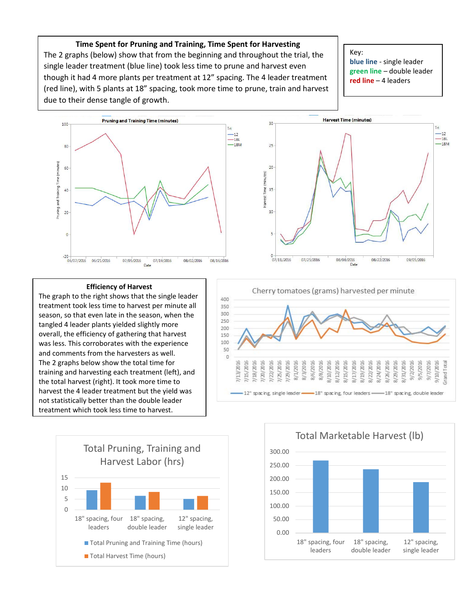**Time Spent for Pruning and Training, Time Spent for Harvesting** The 2 graphs (below) show that from the beginning and throughout the trial, the single leader treatment (blue line) took less time to prune and harvest even though it had 4 more plants per treatment at 12" spacing. The 4 leader treatment (red line), with 5 plants at 18" spacing, took more time to prune, train and harvest due to their dense tangle of growth.

Key: **blue line** - single leader **green line** – double leader **red line** – 4 leaders





## **Efficiency of Harvest**

The graph to the right shows that the single leader treatment took less time to harvest per minute all season, so that even late in the season, when the tangled 4 leader plants yielded slightly more overall, the efficiency of gathering that harvest was less. This corroborates with the experience and comments from the harvesters as well. The 2 graphs below show the total time for training and harvesting each treatment (left), and the total harvest (right). It took more time to harvest the 4 leader treatment but the yield was not statistically better than the double leader treatment which took less time to harvest.